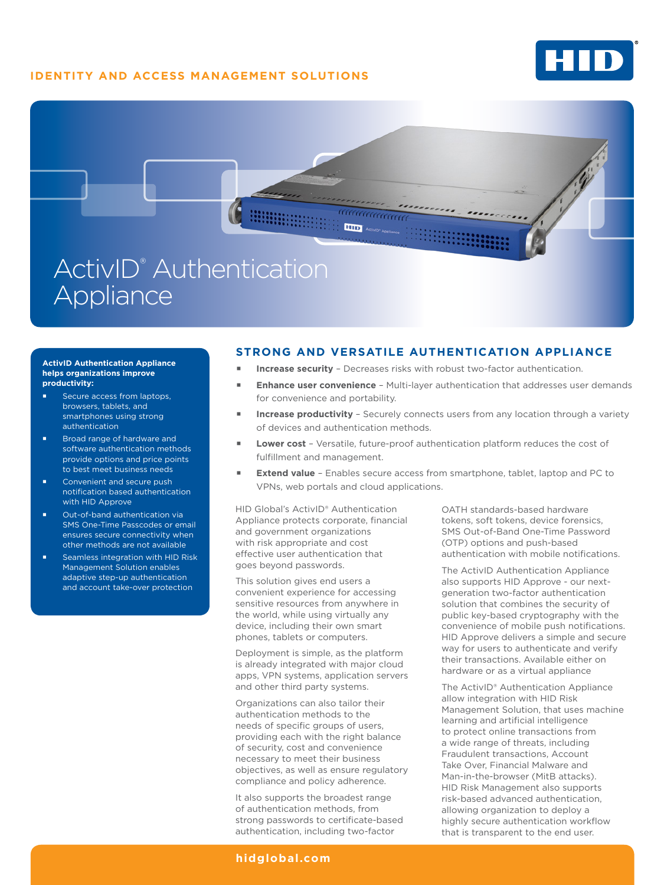# **IDENTITY AND ACCESS MANAGEMENT SOLUTIONS**





#### **ActivID Authentication Appliance helps organizations improve productivity:**

- Secure access from laptops, browsers, tablets, and smartphones using strong authentication
- Broad range of hardware and software authentication methods provide options and price points to best meet business needs
- Convenient and secure push notification based authentication with HID Approve
- Out-of-band authentication via SMS One-Time Passcodes or email ensures secure connectivity when other methods are not available
- Seamless integration with HID Risk Management Solution enables adaptive step-up authentication and account take-over protection

### **STRONG AND VERSATILE AUTHENTICATION APPLIANCE**

- **Increase security**  Decreases risks with robust two-factor authentication.
- **Enhance user convenience** Multi-layer authentication that addresses user demands for convenience and portability.
- **Increase productivity** Securely connects users from any location through a variety of devices and authentication methods.
- **Lower cost**  Versatile, future-proof authentication platform reduces the cost of fulfillment and management.
- **Extend value** Enables secure access from smartphone, tablet, laptop and PC to VPNs, web portals and cloud applications.

HID Global's ActivID® Authentication Appliance protects corporate, financial and government organizations with risk appropriate and cost effective user authentication that goes beyond passwords.

This solution gives end users a convenient experience for accessing sensitive resources from anywhere in the world, while using virtually any device, including their own smart phones, tablets or computers.

Deployment is simple, as the platform is already integrated with major cloud apps, VPN systems, application servers and other third party systems.

Organizations can also tailor their authentication methods to the needs of specific groups of users, providing each with the right balance of security, cost and convenience necessary to meet their business objectives, as well as ensure regulatory compliance and policy adherence.

It also supports the broadest range of authentication methods, from strong passwords to certificate-based authentication, including two-factor

OATH standards-based hardware tokens, soft tokens, device forensics, SMS Out-of-Band One-Time Password (OTP) options and push-based authentication with mobile notifications.

The ActivID Authentication Appliance also supports HID Approve - our nextgeneration two-factor authentication solution that combines the security of public key-based cryptography with the convenience of mobile push notifications. HID Approve delivers a simple and secure way for users to authenticate and verify their transactions. Available either on hardware or as a virtual appliance

The ActivID® Authentication Appliance allow integration with HID Risk Management Solution, that uses machine learning and artificial intelligence to protect online transactions from a wide range of threats, including Fraudulent transactions, Account Take Over, Financial Malware and Man-in-the-browser (MitB attacks). HID Risk Management also supports risk-based advanced authentication, allowing organization to deploy a highly secure authentication workflow that is transparent to the end user.